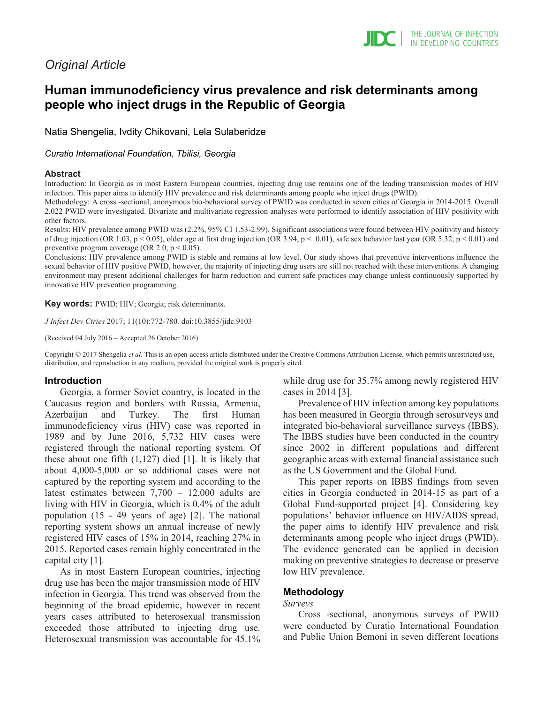# *Original Article*

# **Human immunodeficiency virus prevalence and risk determinants among people who inject drugs in the Republic of Georgia**

Natia Shengelia, Ivdity Chikovani, Lela Sulaberidze

*Curatio International Foundation, Tbilisi, Georgia*

#### **Abstract**

Introduction: In Georgia as in most Eastern European countries, injecting drug use remains one of the leading transmission modes of HIV infection. This paper aims to identify HIV prevalence and risk determinants among people who inject drugs (PWID).

Methodology: A cross -sectional, anonymous bio-behavioral survey of PWID was conducted in seven cities of Georgia in 2014-2015. Overall 2,022 PWID were investigated. Bivariate and multivariate regression analyses were performed to identify association of HIV positivity with other factors.

Results: HIV prevalence among PWID was (2.2%, 95% CI 1.53-2.99). Significant associations were found between HIV positivity and history of drug injection (OR 1.03, p < 0.05), older age at first drug injection (OR 3.94, p < 0.01), safe sex behavior last year (OR 5.32, p < 0.01) and preventive program coverage (OR 2.0, p < 0.05).

Conclusions: HIV prevalence among PWID is stable and remains at low level. Our study shows that preventive interventions influence the sexual behavior of HIV positive PWID, however, the majority of injecting drug users are still not reached with these interventions. A changing environment may present additional challenges for harm reduction and current safe practices may change unless continuously supported by innovative HIV prevention programming.

**Key words:** PWID; HIV; Georgia; risk determinants.

*J Infect Dev Ctries* 2017; 11(10):772-780*.* doi:10.3855/jidc.9103

(Received 04 July 2016 – Accepted 26 October 2016)

Copyright © 2017 Shengelia *et al*. This is an open-access article distributed under the Creative Commons Attribution License, which permits unrestricted use, distribution, and reproduction in any medium, provided the original work is properly cited.

#### **Introduction**

Georgia, a former Soviet country, is located in the Caucasus region and borders with Russia, Armenia, Azerbaijan and Turkey. The first Human immunodeficiency virus (HIV) case was reported in 1989 and by June 2016, 5,732 HIV cases were registered through the national reporting system. Of these about one fifth  $(1,127)$  died [1]. It is likely that about 4,000-5,000 or so additional cases were not captured by the reporting system and according to the latest estimates between 7,700 – 12,000 adults are living with HIV in Georgia, which is 0.4% of the adult population (15 - 49 years of age) [2]. The national reporting system shows an annual increase of newly registered HIV cases of 15% in 2014, reaching 27% in 2015. Reported cases remain highly concentrated in the capital city [1].

As in most Eastern European countries, injecting drug use has been the major transmission mode of HIV infection in Georgia. This trend was observed from the beginning of the broad epidemic, however in recent years cases attributed to heterosexual transmission exceeded those attributed to injecting drug use. Heterosexual transmission was accountable for 45.1% while drug use for 35.7% among newly registered HIV cases in 2014 [3].

Prevalence of HIV infection among key populations has been measured in Georgia through serosurveys and integrated bio-behavioral surveillance surveys (IBBS). The IBBS studies have been conducted in the country since 2002 in different populations and different geographic areas with external financial assistance such as the US Government and the Global Fund.

This paper reports on IBBS findings from seven cities in Georgia conducted in 2014-15 as part of a Global Fund-supported project [4]. Considering key populations' behavior influence on HIV/AIDS spread, the paper aims to identify HIV prevalence and risk determinants among people who inject drugs (PWID). The evidence generated can be applied in decision making on preventive strategies to decrease or preserve low HIV prevalence.

## **Methodology**

#### *Surveys*

Cross -sectional, anonymous surveys of PWID were conducted by Curatio International Foundation and Public Union Bemoni in seven different locations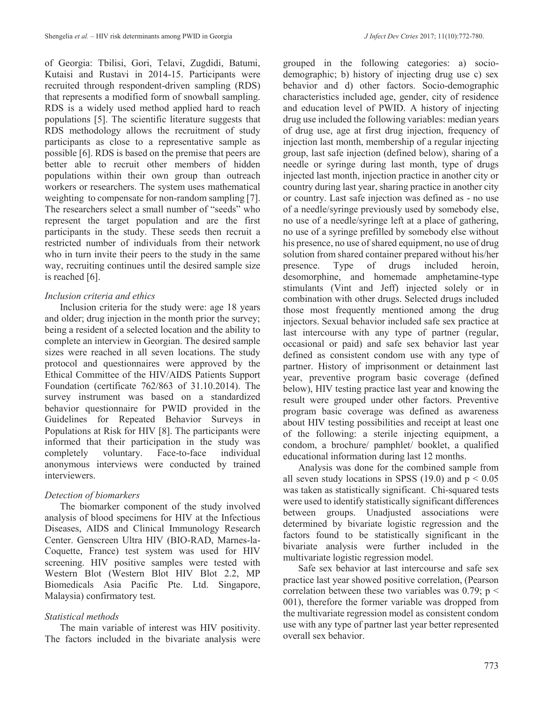of Georgia: Tbilisi, Gori, Telavi, Zugdidi, Batumi, Kutaisi and Rustavi in 2014-15. Participants were recruited through respondent-driven sampling (RDS) that represents a modified form of snowball sampling. RDS is a widely used method applied hard to reach populations [5]. The scientific literature suggests that RDS methodology allows the recruitment of study participants as close to a representative sample as possible [6]. RDS is based on the premise that peers are better able to recruit other members of hidden populations within their own group than outreach workers or researchers. The system uses mathematical weighting to compensate for non-random sampling [7]. The researchers select a small number of "seeds" who represent the target population and are the first participants in the study. These seeds then recruit a restricted number of individuals from their network who in turn invite their peers to the study in the same way, recruiting continues until the desired sample size is reached [6].

## *Inclusion criteria and ethics*

Inclusion criteria for the study were: age 18 years and older; drug injection in the month prior the survey; being a resident of a selected location and the ability to complete an interview in Georgian. The desired sample sizes were reached in all seven locations. The study protocol and questionnaires were approved by the Ethical Committee of the HIV/AIDS Patients Support Foundation (certificate 762/863 of 31.10.2014). The survey instrument was based on a standardized behavior questionnaire for PWID provided in the Guidelines for Repeated Behavior Surveys in Populations at Risk for HIV [8]. The participants were informed that their participation in the study was completely voluntary. Face-to-face individual anonymous interviews were conducted by trained interviewers.

## *Detection of biomarkers*

The biomarker component of the study involved analysis of blood specimens for HIV at the Infectious Diseases, AIDS and Clinical Immunology Research Center. Genscreen Ultra HIV (BIO-RAD, Marnes-la-Coquette, France) test system was used for HIV screening. HIV positive samples were tested with Western Blot (Western Blot HIV Blot 2.2, MP Biomedicals Asia Pacific Pte. Ltd. Singapore, Malaysia) confirmatory test.

# *Statistical methods*

The main variable of interest was HIV positivity. The factors included in the bivariate analysis were grouped in the following categories: a) sociodemographic; b) history of injecting drug use c) sex behavior and d) other factors. Socio-demographic characteristics included age, gender, city of residence and education level of PWID. A history of injecting drug use included the following variables: median years of drug use, age at first drug injection, frequency of injection last month, membership of a regular injecting group, last safe injection (defined below), sharing of a needle or syringe during last month, type of drugs injected last month, injection practice in another city or country during last year, sharing practice in another city or country. Last safe injection was defined as - no use of a needle/syringe previously used by somebody else, no use of a needle/syringe left at a place of gathering, no use of a syringe prefilled by somebody else without his presence, no use of shared equipment, no use of drug solution from shared container prepared without his/her presence. Type of drugs included heroin, desomorphine, and homemade amphetamine-type stimulants (Vint and Jeff) injected solely or in combination with other drugs. Selected drugs included those most frequently mentioned among the drug injectors. Sexual behavior included safe sex practice at last intercourse with any type of partner (regular, occasional or paid) and safe sex behavior last year defined as consistent condom use with any type of partner. History of imprisonment or detainment last year, preventive program basic coverage (defined below), HIV testing practice last year and knowing the result were grouped under other factors. Preventive program basic coverage was defined as awareness about HIV testing possibilities and receipt at least one of the following: a sterile injecting equipment, a condom, a brochure/ pamphlet/ booklet, a qualified educational information during last 12 months.

Analysis was done for the combined sample from all seven study locations in SPSS (19.0) and  $p < 0.05$ was taken as statistically significant. Chi-squared tests were used to identify statistically significant differences between groups. Unadjusted associations were determined by bivariate logistic regression and the factors found to be statistically significant in the bivariate analysis were further included in the multivariate logistic regression model.

Safe sex behavior at last intercourse and safe sex practice last year showed positive correlation, (Pearson correlation between these two variables was 0.79;  $p \le$ 001), therefore the former variable was dropped from the multivariate regression model as consistent condom use with any type of partner last year better represented overall sex behavior.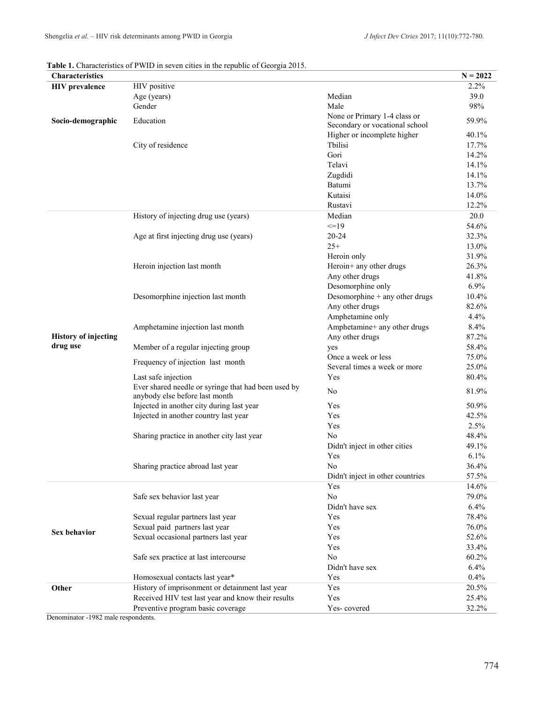|  | Table 1. Characteristics of PWID in seven cities in the republic of Georgia 2015. |  |
|--|-----------------------------------------------------------------------------------|--|
|--|-----------------------------------------------------------------------------------|--|

| Characteristics             |                                                     |                                         | $N = 2022$     |
|-----------------------------|-----------------------------------------------------|-----------------------------------------|----------------|
| <b>HIV</b> prevalence       | HIV positive                                        |                                         | 2.2%           |
|                             | Age (years)                                         | Median                                  | 39.0           |
|                             | Gender                                              | Male                                    | 98%            |
| Socio-demographic           | Education                                           | None or Primary 1-4 class or            | 59.9%          |
|                             |                                                     | Secondary or vocational school          |                |
|                             |                                                     | Higher or incomplete higher             | 40.1%          |
|                             | City of residence                                   | Tbilisi                                 | 17.7%          |
|                             |                                                     | Gori                                    | 14.2%          |
|                             |                                                     | Telavi                                  | 14.1%          |
|                             |                                                     | Zugdidi                                 | 14.1%          |
|                             |                                                     | Batumi                                  | 13.7%          |
|                             |                                                     | Kutaisi                                 | 14.0%          |
|                             |                                                     | Rustavi                                 | 12.2%          |
|                             | History of injecting drug use (years)               | Median                                  | 20.0           |
|                             |                                                     | $=19$                                   | 54.6%          |
|                             | Age at first injecting drug use (years)             | 20-24                                   | 32.3%          |
|                             |                                                     | $25+$                                   | 13.0%          |
|                             |                                                     | Heroin only                             | 31.9%          |
|                             | Heroin injection last month                         | Heroin+ any other drugs                 | 26.3%          |
|                             |                                                     | Any other drugs                         | 41.8%          |
|                             |                                                     | Desomorphine only                       | 6.9%           |
|                             | Desomorphine injection last month                   | Desomorphine + any other drugs          | 10.4%          |
|                             |                                                     | Any other drugs                         | 82.6%          |
|                             |                                                     | Amphetamine only                        | 4.4%           |
|                             | Amphetamine injection last month                    | Amphetamine+ any other drugs            | 8.4%           |
| <b>History of injecting</b> |                                                     | Any other drugs                         | 87.2%          |
| drug use                    | Member of a regular injecting group                 | yes                                     | 58.4%          |
|                             | Frequency of injection last month                   | Once a week or less                     | 75.0%          |
|                             |                                                     | Several times a week or more            | 25.0%          |
|                             | Last safe injection                                 | Yes                                     | 80.4%          |
|                             | Ever shared needle or syringe that had been used by | No                                      | 81.9%          |
|                             | anybody else before last month                      |                                         |                |
|                             | Injected in another city during last year           | Yes                                     | 50.9%          |
|                             | Injected in another country last year               | Yes                                     | 42.5%          |
|                             |                                                     | Yes                                     | 2.5%           |
|                             | Sharing practice in another city last year          | No                                      | 48.4%          |
|                             |                                                     | Didn't inject in other cities           | 49.1%          |
|                             |                                                     | Yes                                     | 6.1%           |
|                             | Sharing practice abroad last year                   | No                                      | 36.4%<br>57.5% |
|                             |                                                     | Didn't inject in other countries<br>Yes | 14.6%          |
|                             |                                                     | No                                      | 79.0%          |
|                             | Safe sex behavior last year                         | Didn't have sex                         | 6.4%           |
|                             | Sexual regular partners last year                   | Yes                                     | 78.4%          |
|                             | Sexual paid partners last year                      | Yes                                     | 76.0%          |
| <b>Sex behavior</b>         | Sexual occasional partners last year                | Yes                                     | 52.6%          |
|                             |                                                     | Yes                                     | 33.4%          |
|                             | Safe sex practice at last intercourse               | No                                      | 60.2%          |
|                             |                                                     | Didn't have sex                         | 6.4%           |
|                             | Homosexual contacts last year*                      | Yes                                     | 0.4%           |
|                             |                                                     | Yes                                     |                |
| Other                       | History of imprisonment or detainment last year     | Yes                                     | 20.5%          |
|                             | Received HIV test last year and know their results  |                                         | 25.4%<br>32.2% |
|                             | Preventive program basic coverage                   | Yes-covered                             |                |

Denominator -1982 male respondents.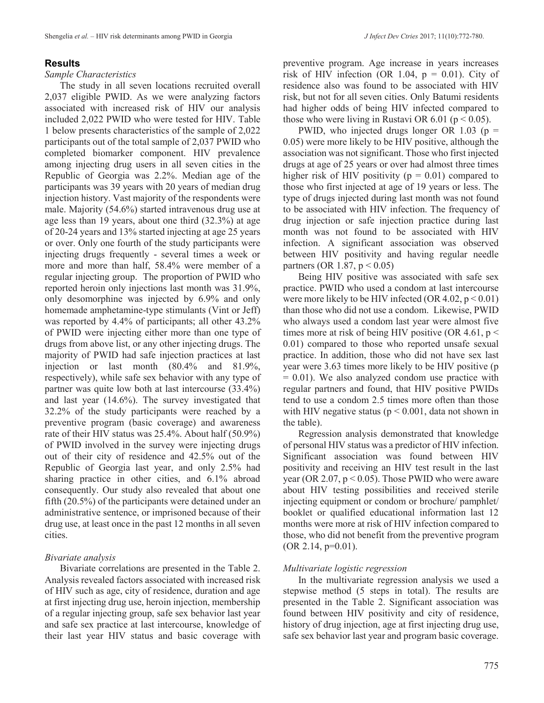#### **Results**

#### *Sample Characteristics*

The study in all seven locations recruited overall 2,037 eligible PWID. As we were analyzing factors associated with increased risk of HIV our analysis included 2,022 PWID who were tested for HIV. Table 1 below presents characteristics of the sample of 2,022 participants out of the total sample of 2,037 PWID who completed biomarker component. HIV prevalence among injecting drug users in all seven cities in the Republic of Georgia was 2.2%. Median age of the participants was 39 years with 20 years of median drug injection history. Vast majority of the respondents were male. Majority (54.6%) started intravenous drug use at age less than 19 years, about one third (32.3%) at age of 20-24 years and 13% started injecting at age 25 years or over. Only one fourth of the study participants were injecting drugs frequently - several times a week or more and more than half, 58.4% were member of a regular injecting group. The proportion of PWID who reported heroin only injections last month was 31.9%, only desomorphine was injected by 6.9% and only homemade amphetamine-type stimulants (Vint or Jeff) was reported by 4.4% of participants; all other 43.2% of PWID were injecting either more than one type of drugs from above list, or any other injecting drugs. The majority of PWID had safe injection practices at last injection or last month (80.4% and 81.9%, respectively), while safe sex behavior with any type of partner was quite low both at last intercourse (33.4%) and last year (14.6%). The survey investigated that 32.2% of the study participants were reached by a preventive program (basic coverage) and awareness rate of their HIV status was 25.4%. About half (50.9%) of PWID involved in the survey were injecting drugs out of their city of residence and 42.5% out of the Republic of Georgia last year, and only 2.5% had sharing practice in other cities, and 6.1% abroad consequently. Our study also revealed that about one fifth (20.5%) of the participants were detained under an administrative sentence, or imprisoned because of their drug use, at least once in the past 12 months in all seven cities.

#### *Bivariate analysis*

Bivariate correlations are presented in the Table 2. Analysis revealed factors associated with increased risk of HIV such as age, city of residence, duration and age at first injecting drug use, heroin injection, membership of a regular injecting group, safe sex behavior last year and safe sex practice at last intercourse, knowledge of their last year HIV status and basic coverage with

preventive program. Age increase in years increases risk of HIV infection (OR 1.04,  $p = 0.01$ ). City of residence also was found to be associated with HIV risk, but not for all seven cities. Only Batumi residents had higher odds of being HIV infected compared to those who were living in Rustavi OR  $6.01$  ( $p < 0.05$ ).

PWID, who injected drugs longer OR 1.03 ( $p =$ 0.05) were more likely to be HIV positive, although the association was not significant. Those who first injected drugs at age of 25 years or over had almost three times higher risk of HIV positivity ( $p = 0.01$ ) compared to those who first injected at age of 19 years or less. The type of drugs injected during last month was not found to be associated with HIV infection. The frequency of drug injection or safe injection practice during last month was not found to be associated with HIV infection. A significant association was observed between HIV positivity and having regular needle partners (OR 1.87,  $p < 0.05$ )

Being HIV positive was associated with safe sex practice. PWID who used a condom at last intercourse were more likely to be HIV infected  $(OR 4.02, p < 0.01)$ than those who did not use a condom. Likewise, PWID who always used a condom last year were almost five times more at risk of being HIV positive (OR 4.61,  $p <$ 0.01) compared to those who reported unsafe sexual practice. In addition, those who did not have sex last year were 3.63 times more likely to be HIV positive (p  $= 0.01$ ). We also analyzed condom use practice with regular partners and found, that HIV positive PWIDs tend to use a condom 2.5 times more often than those with HIV negative status ( $p \le 0.001$ , data not shown in the table).

Regression analysis demonstrated that knowledge of personal HIV status was a predictor of HIV infection. Significant association was found between HIV positivity and receiving an HIV test result in the last year (OR 2.07,  $p < 0.05$ ). Those PWID who were aware about HIV testing possibilities and received sterile injecting equipment or condom or brochure/ pamphlet/ booklet or qualified educational information last 12 months were more at risk of HIV infection compared to those, who did not benefit from the preventive program  $(OR 2.14, p=0.01).$ 

#### *Multivariate logistic regression*

In the multivariate regression analysis we used a stepwise method (5 steps in total). The results are presented in the Table 2. Significant association was found between HIV positivity and city of residence, history of drug injection, age at first injecting drug use, safe sex behavior last year and program basic coverage.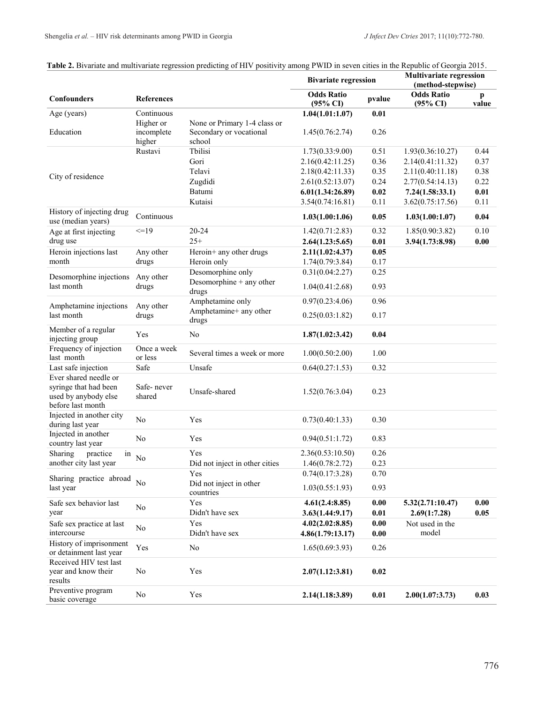|                                                                                             |                                   |                                                                   | <b>Bivariate regression</b>              |                                            | <b>Multivariate regression</b><br>(method-stepwise) |                       |
|---------------------------------------------------------------------------------------------|-----------------------------------|-------------------------------------------------------------------|------------------------------------------|--------------------------------------------|-----------------------------------------------------|-----------------------|
| Confounders                                                                                 | <b>References</b>                 |                                                                   | <b>Odds Ratio</b><br>$(95\% \text{ CI})$ | pvalue                                     | <b>Odds Ratio</b><br>$(95\% \text{ CI})$            | $\mathbf{p}$<br>value |
| Age (years)                                                                                 | Continuous                        |                                                                   | 1.04(1.01:1.07)                          | 0.01                                       |                                                     |                       |
| Education                                                                                   | Higher or<br>incomplete<br>higher | None or Primary 1-4 class or<br>Secondary or vocational<br>school | 1.45(0.76:2.74)                          | 0.26                                       |                                                     |                       |
|                                                                                             | Rustavi                           | Tbilisi                                                           | 1.73(0.33:9.00)                          | 0.51                                       | 1.93(0.36:10.27)                                    | 0.44                  |
|                                                                                             |                                   | Gori                                                              | 2.16(0.42:11.25)                         | 0.36                                       | 2.14(0.41:11.32)                                    | 0.37                  |
|                                                                                             |                                   | Telavi                                                            | 2.18(0.42:11.33)                         | 0.35                                       | 2.11(0.40:11.18)                                    | 0.38                  |
| City of residence                                                                           |                                   | Zugdidi                                                           | 2.61(0.52:13.07)                         | 0.24                                       | 2.77(0.54:14.13)                                    | 0.22                  |
|                                                                                             |                                   | Batumi                                                            | 6.01(1.34:26.89)                         | 0.02                                       | 7.24(1.58:33.1)                                     | 0.01                  |
|                                                                                             |                                   | Kutaisi                                                           | 3.54(0.74:16.81)                         | 0.11                                       | 3.62(0.75:17.56)                                    | 0.11                  |
| History of injecting drug<br>use (median years)                                             | Continuous                        |                                                                   | 1.03(1.00:1.06)                          | 0.05                                       | 1.03(1.00:1.07)                                     | 0.04                  |
| Age at first injecting                                                                      | $=19$                             | $20 - 24$                                                         | 1.42(0.71:2.83)                          | 0.32                                       | 1.85(0.90:3.82)                                     | 0.10                  |
| drug use                                                                                    |                                   | $25+$                                                             | 2.64(1.23:5.65)                          | 0.01                                       | 3.94(1.73:8.98)                                     | 0.00                  |
| Heroin injections last                                                                      | Any other                         | Heroin+ any other drugs                                           | 2.11(1.02:4.37)                          | 0.05                                       |                                                     |                       |
| month                                                                                       | drugs                             | Heroin only                                                       | 1.74(0.79:3.84)                          | 0.17                                       |                                                     |                       |
|                                                                                             |                                   | Desomorphine only                                                 | 0.31(0.04:2.27)                          | 0.25                                       |                                                     |                       |
| Desomorphine injections<br>last month                                                       | Any other<br>drugs                | Desomorphine + any other<br>drugs                                 | 1.04(0.41:2.68)                          | 0.93                                       |                                                     |                       |
|                                                                                             |                                   | Amphetamine only                                                  | 0.97(0.23:4.06)                          | 0.96                                       |                                                     |                       |
| Amphetamine injections<br>last month                                                        | Any other<br>drugs                | Amphetamine+ any other<br>drugs                                   | 0.25(0.03:1.82)                          | 0.17                                       |                                                     |                       |
| Member of a regular<br>injecting group                                                      | Yes                               | No                                                                | 1.87(1.02:3.42)                          | 0.04                                       |                                                     |                       |
| Frequency of injection<br>last month                                                        | Once a week<br>or less            | Several times a week or more                                      | 1.00(0.50:2.00)                          | 1.00                                       |                                                     |                       |
| Last safe injection                                                                         | Safe                              | Unsafe                                                            | 0.64(0.27:1.53)                          | 0.32                                       |                                                     |                       |
| Ever shared needle or<br>syringe that had been<br>used by anybody else<br>before last month | Safe-never<br>shared              | Unsafe-shared                                                     | 1.52(0.76:3.04)                          | 0.23                                       |                                                     |                       |
| Injected in another city<br>during last year                                                | N <sub>o</sub>                    | Yes                                                               | 0.73(0.40:1.33)                          | 0.30                                       |                                                     |                       |
| Injected in another<br>country last year                                                    | No                                | Yes                                                               | 0.94(0.51:1.72)                          | 0.83                                       |                                                     |                       |
| Sharing<br>practice<br>in                                                                   | No                                | Yes                                                               | 2.36(0.53:10.50)                         | 0.26                                       |                                                     |                       |
| another city last year                                                                      |                                   | Did not inject in other cities                                    | 1.46(0.78:2.72)                          | 0.23                                       |                                                     |                       |
| Sharing practice abroad                                                                     |                                   | Yes                                                               | 0.74(0.17:3.28)                          | 0.70                                       |                                                     |                       |
| last year                                                                                   | No                                | Did not inject in other<br>countries                              | 1.03(0.55:1.93)                          | 0.93                                       |                                                     |                       |
| Safe sex behavior last<br>year                                                              | No                                | Yes<br>Didn't have sex                                            | 4.61(2.4:8.85)<br>3.63(1.44:9.17)        | $\boldsymbol{0.00}$<br>$0.01\,$            | 5.32(2.71:10.47)<br>2.69(1:7.28)                    | 0.00<br>0.05          |
| Safe sex practice at last<br>intercourse                                                    | No                                | Yes<br>Didn't have sex                                            | 4.02(2.02:8.85)<br>4.86(1.79:13.17)      | $\boldsymbol{0.00}$<br>$\boldsymbol{0.00}$ | Not used in the<br>model                            |                       |
| History of imprisonment<br>or detainment last year                                          | Yes                               | No                                                                | 1.65(0.69:3.93)                          | 0.26                                       |                                                     |                       |
| Received HIV test last<br>year and know their<br>results                                    | No                                | Yes                                                               | 2.07(1.12:3.81)                          | 0.02                                       |                                                     |                       |
| Preventive program<br>basic coverage                                                        | No                                | Yes                                                               | 2.14(1.18:3.89)                          | $0.01\,$                                   | 2.00(1.07:3.73)                                     | 0.03                  |

#### Table 2. Bivariate and multivariate regression predicting of HIV positivity among PWID in seven cities in the Republic of Georgia 2015.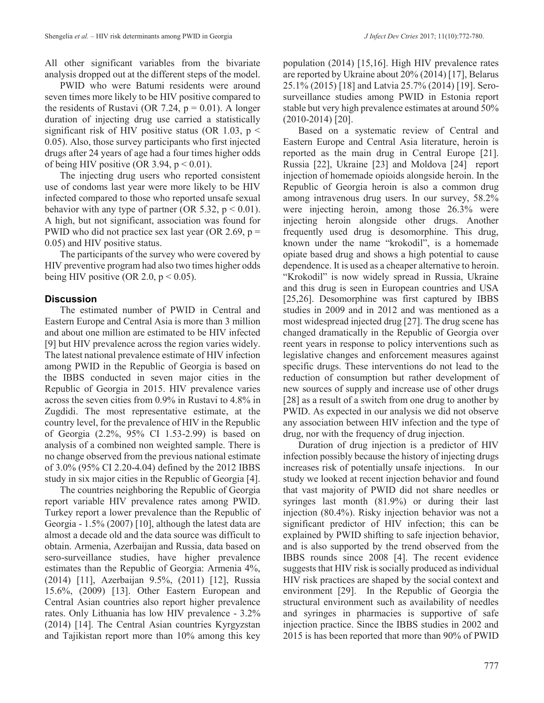All other significant variables from the bivariate analysis dropped out at the different steps of the model.

PWID who were Batumi residents were around seven times more likely to be HIV positive compared to the residents of Rustavi (OR 7.24,  $p = 0.01$ ). A longer duration of injecting drug use carried a statistically significant risk of HIV positive status (OR 1.03,  $p \le$ 0.05). Also, those survey participants who first injected drugs after 24 years of age had a four times higher odds of being HIV positive (OR 3.94,  $p < 0.01$ ).

The injecting drug users who reported consistent use of condoms last year were more likely to be HIV infected compared to those who reported unsafe sexual behavior with any type of partner (OR 5.32,  $p < 0.01$ ). A high, but not significant, association was found for PWID who did not practice sex last year (OR 2.69,  $p =$ 0.05) and HIV positive status.

The participants of the survey who were covered by HIV preventive program had also two times higher odds being HIV positive (OR 2.0,  $p < 0.05$ ).

#### **Discussion**

The estimated number of PWID in Central and Eastern Europe and Central Asia is more than 3 million and about one million are estimated to be HIV infected [9] but HIV prevalence across the region varies widely. The latest national prevalence estimate of HIV infection among PWID in the Republic of Georgia is based on the IBBS conducted in seven major cities in the Republic of Georgia in 2015. HIV prevalence varies across the seven cities from 0.9% in Rustavi to 4.8% in Zugdidi. The most representative estimate, at the country level, for the prevalence of HIV in the Republic of Georgia (2.2%, 95% CI 1.53-2.99) is based on analysis of a combined non weighted sample. There is no change observed from the previous national estimate of 3.0% (95% CI 2.20-4.04) defined by the 2012 IBBS study in six major cities in the Republic of Georgia [4].

The countries neighboring the Republic of Georgia report variable HIV prevalence rates among PWID. Turkey report a lower prevalence than the Republic of Georgia - 1.5% (2007) [10], although the latest data are almost a decade old and the data source was difficult to obtain. Armenia, Azerbaijan and Russia, data based on sero-surveillance studies, have higher prevalence estimates than the Republic of Georgia: Armenia 4%, (2014) [11], Azerbaijan 9.5%, (2011) [12], Russia 15.6%, (2009) [13]. Other Eastern European and Central Asian countries also report higher prevalence rates. Only Lithuania has low HIV prevalence - 3.2% (2014) [14]. The Central Asian countries Kyrgyzstan and Tajikistan report more than 10% among this key

population (2014) [15,16]. High HIV prevalence rates are reported by Ukraine about 20% (2014) [17], Belarus 25.1% (2015) [18] and Latvia 25.7% (2014) [19]. Serosurveillance studies among PWID in Estonia report stable but very high prevalence estimates at around 50% (2010-2014) [20].

Based on a systematic review of Central and Eastern Europe and Central Asia literature, heroin is reported as the main drug in Central Europe [21]. Russia [22], Ukraine [23] and Moldova [24] report injection of homemade opioids alongside heroin. In the Republic of Georgia heroin is also a common drug among intravenous drug users. In our survey, 58.2% were injecting heroin, among those 26.3% were injecting heroin alongside other drugs. Another frequently used drug is desomorphine. This drug, known under the name "krokodil", is a homemade opiate based drug and shows a high potential to cause dependence. It is used as a cheaper alternative to heroin. "Krokodil" is now widely spread in Russia, Ukraine and this drug is seen in European countries and USA [25,26]. Desomorphine was first captured by IBBS studies in 2009 and in 2012 and was mentioned as a most widespread injected drug [27]. The drug scene has changed dramatically in the Republic of Georgia over reent years in response to policy interventions such as legislative changes and enforcement measures against specific drugs. These interventions do not lead to the reduction of consumption but rather development of new sources of supply and increase use of other drugs [28] as a result of a switch from one drug to another by PWID. As expected in our analysis we did not observe any association between HIV infection and the type of drug, nor with the frequency of drug injection.

Duration of drug injection is a predictor of HIV infection possibly because the history of injecting drugs increases risk of potentially unsafe injections. In our study we looked at recent injection behavior and found that vast majority of PWID did not share needles or syringes last month (81.9%) or during their last injection (80.4%). Risky injection behavior was not a significant predictor of HIV infection; this can be explained by PWID shifting to safe injection behavior, and is also supported by the trend observed from the IBBS rounds since 2008 [4]. The recent evidence suggests that HIV risk is socially produced as individual HIV risk practices are shaped by the social context and environment [29]. In the Republic of Georgia the structural environment such as availability of needles and syringes in pharmacies is supportive of safe injection practice. Since the IBBS studies in 2002 and 2015 is has been reported that more than 90% of PWID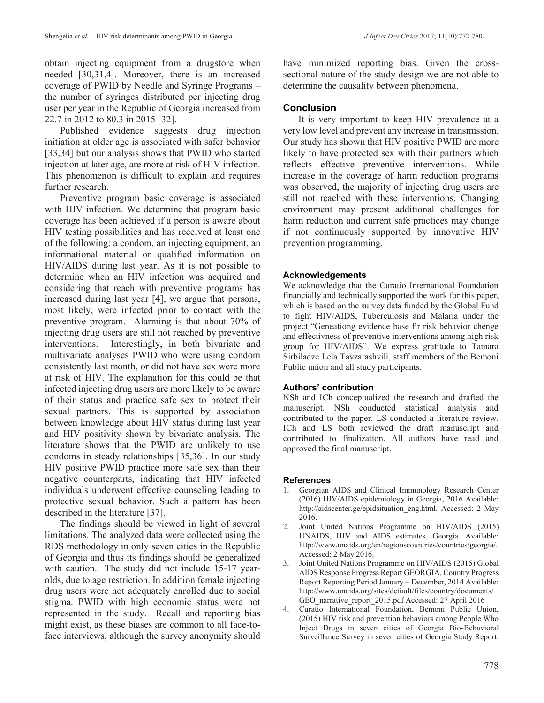obtain injecting equipment from a drugstore when needed [30,31,4]. Moreover, there is an increased coverage of PWID by Needle and Syringe Programs – the number of syringes distributed per injecting drug user per year in the Republic of Georgia increased from 22.7 in 2012 to 80.3 in 2015 [32].

Published evidence suggests drug injection initiation at older age is associated with safer behavior [33,34] but our analysis shows that PWID who started injection at later age, are more at risk of HIV infection. This phenomenon is difficult to explain and requires further research.

Preventive program basic coverage is associated with HIV infection. We determine that program basic coverage has been achieved if a person is aware about HIV testing possibilities and has received at least one of the following: a condom, an injecting equipment, an informational material or qualified information on HIV/AIDS during last year. As it is not possible to determine when an HIV infection was acquired and considering that reach with preventive programs has increased during last year [4], we argue that persons, most likely, were infected prior to contact with the preventive program. Alarming is that about 70% of injecting drug users are still not reached by preventive interventions. Interestingly, in both bivariate and multivariate analyses PWID who were using condom consistently last month, or did not have sex were more at risk of HIV. The explanation for this could be that infected injecting drug users are more likely to be aware of their status and practice safe sex to protect their sexual partners. This is supported by association between knowledge about HIV status during last year and HIV positivity shown by bivariate analysis. The literature shows that the PWID are unlikely to use condoms in steady relationships [35,36]. In our study HIV positive PWID practice more safe sex than their negative counterparts, indicating that HIV infected individuals underwent effective counseling leading to protective sexual behavior. Such a pattern has been described in the literature [37].

The findings should be viewed in light of several limitations. The analyzed data were collected using the RDS methodology in only seven cities in the Republic of Georgia and thus its findings should be generalized with caution. The study did not include 15-17 yearolds, due to age restriction. In addition female injecting drug users were not adequately enrolled due to social stigma. PWID with high economic status were not represented in the study. Recall and reporting bias might exist, as these biases are common to all face-toface interviews, although the survey anonymity should have minimized reporting bias. Given the crosssectional nature of the study design we are not able to determine the causality between phenomena.

# **Conclusion**

It is very important to keep HIV prevalence at a very low level and prevent any increase in transmission. Our study has shown that HIV positive PWID are more likely to have protected sex with their partners which reflects effective preventive interventions. While increase in the coverage of harm reduction programs was observed, the majority of injecting drug users are still not reached with these interventions. Changing environment may present additional challenges for harm reduction and current safe practices may change if not continuously supported by innovative HIV prevention programming.

## **Acknowledgements**

We acknowledge that the Curatio International Foundation financially and technically supported the work for this paper, which is based on the survey data funded by the Global Fund to fight HIV/AIDS, Tuberculosis and Malaria under the project "Geneationg evidence base fir risk behavior chenge and effectivness of preventive interventions among high risk group for HIV/AIDS". We express gratitude to Tamara Sirbiladze Lela Tavzarashvili, staff members of the Bemoni Public union and all study participants.

## **Authors' contribution**

NSh and ICh conceptualized the research and drafted the manuscript. NSh conducted statistical analysis and contributed to the paper. LS conducted a literature review. ICh and LS both reviewed the draft manuscript and contributed to finalization. All authors have read and approved the final manuscript.

## **References**

- 1. Georgian AIDS and Clinical Immunology Research Center (2016) HIV/AIDS epidemiology in Georgia, 2016 Available: http://aidscenter.ge/epidsituation\_eng.html. Accessed: 2 May 2016.
- 2. Joint United Nations Programme on HIV/AIDS (2015) UNAIDS, HIV and AIDS estimates, Georgia. Available: http://www.unaids.org/en/regionscountries/countries/georgia/. Accessed: 2 May 2016.
- 3. Joint United Nations Programme on HIV/AIDS (2015) Global AIDS Response Progress Report GEORGIA. Country Progress Report Reporting Period January – December, 2014 Available: http://www.unaids.org/sites/default/files/country/documents/ GEO\_narrative\_report\_2015.pdf Accessed: 27 April 2016
- 4. Curatio International Foundation, Bemoni Public Union, (2015) HIV risk and prevention behaviors among People Who Inject Drugs in seven cities of Georgia Bio-Behavioral Surveillance Survey in seven cities of Georgia Study Report.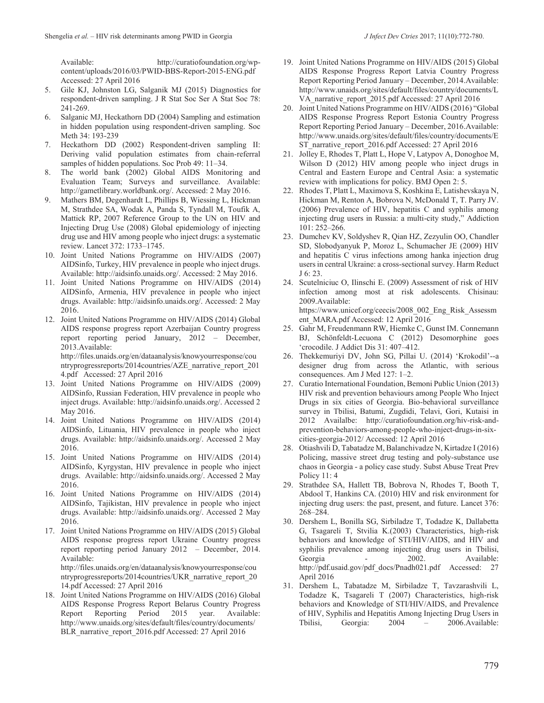Available: http://curatiofoundation.org/wpcontent/uploads/2016/03/PWID-BBS-Report-2015-ENG.pdf Accessed: 27 April 2016

- 5. Gile KJ, Johnston LG, Salganik MJ (2015) Diagnostics for respondent-driven sampling. J R Stat Soc Ser A Stat Soc 78: 241-269.
- 6. Salganic MJ, Heckathorn DD (2004) Sampling and estimation in hidden population using respondent-driven sampling. Soc Meth 34: 193-239
- 7. Heckathorn DD (2002) Respondent-driven sampling II: Deriving valid population estimates from chain-referral samples of hidden populations. Soc Prob 49: 11–34.
- 8. The world bank (2002) Global AIDS Monitoring and Evaluation Team; Surveys and surveillance. Available: http://gametlibrary.worldbank.org/. Accessed: 2 May 2016.
- 9. Mathers BM, Degenhardt L, Phillips B, Wiessing L, Hickman M, Strathdee SA, Wodak A, Panda S, Tyndall M, Toufik A, Mattick RP, 2007 Reference Group to the UN on HIV and Injecting Drug Use (2008) Global epidemiology of injecting drug use and HIV among people who inject drugs: a systematic review. Lancet 372: 1733–1745.
- 10. Joint United Nations Programme on HIV/AIDS (2007) AIDSinfo, Turkey, HIV prevalence in people who inject drugs. Available: http://aidsinfo.unaids.org/. Accessed: 2 May 2016.
- 11. Joint United Nations Programme on HIV/AIDS (2014) AIDSinfo, Armenia, HIV prevalence in people who inject drugs. Available: http://aidsinfo.unaids.org/. Accessed: 2 May 2016.
- 12. Joint United Nations Programme on HIV/AIDS (2014) Global AIDS response progress report Azerbaijan Country progress report reporting period January, 2012 – December, 2013.Available: http://files.unaids.org/en/dataanalysis/knowyourresponse/cou

ntryprogressreports/2014countries/AZE\_narrative\_report\_201 4.pdf Accessed: 27 April 2016

- 13. Joint United Nations Programme on HIV/AIDS (2009) AIDSinfo, Russian Federation, HIV prevalence in people who inject drugs. Available: http://aidsinfo.unaids.org/. Accessed 2 May 2016.
- 14. Joint United Nations Programme on HIV/AIDS (2014) AIDSinfo, Lituania, HIV prevalence in people who inject drugs. Available: http://aidsinfo.unaids.org/. Accessed 2 May 2016.
- 15. Joint United Nations Programme on HIV/AIDS (2014) AIDSinfo, Kyrgystan, HIV prevalence in people who inject drugs. Available: http://aidsinfo.unaids.org/. Accessed 2 May 2016.
- 16. Joint United Nations Programme on HIV/AIDS (2014) AIDSinfo, Tajikistan, HIV prevalence in people who inject drugs. Available: http://aidsinfo.unaids.org/. Accessed 2 May 2016.
- 17. Joint United Nations Programme on HIV/AIDS (2015) Global AIDS response progress report Ukraine Country progress report reporting period January 2012 – December, 2014. Available: http://files.unaids.org/en/dataanalysis/knowyourresponse/cou ntryprogressreports/2014countries/UKR\_narrative\_report\_20 14.pdf Accessed: 27 April 2016
- 18. Joint United Nations Programme on HIV/AIDS (2016) Global AIDS Response Progress Report Belarus Country Progress Report Reporting Period 2015 year. Available: http://www.unaids.org/sites/default/files/country/documents/ BLR\_narrative\_report\_2016.pdf Accessed: 27 April 2016
- 19. Joint United Nations Programme on HIV/AIDS (2015) Global AIDS Response Progress Report Latvia Country Progress Report Reporting Period January – December, 2014.Available: http://www.unaids.org/sites/default/files/country/documents/L VA\_narrative\_report\_2015.pdf Accessed: 27 April 2016
- 20. Joint United Nations Programme on HIV/AIDS (2016) "Global AIDS Response Progress Report Estonia Country Progress Report Reporting Period January – December, 2016.Available: http://www.unaids.org/sites/default/files/country/documents/E ST\_narrative\_report\_2016.pdf Accessed: 27 April 2016
- 21. Jolley E, Rhodes T, Platt L, Hope V, Latypov A, Donoghoe M, Wilson D (2012) HIV among people who inject drugs in Central and Eastern Europe and Central Asia: a systematic review with implications for policy. BMJ Open 2: 5.
- 22. Rhodes T, Platt L, Maximova S, Koshkina E, Latishevskaya N, Hickman M, Renton A, Bobrova N, McDonald T, T. Parry JV. (2006) Prevalence of HIV, hepatitis C and syphilis among injecting drug users in Russia: a multi-city study," Addiction 101: 252–266.
- 23. Dumchev KV, Soldyshev R, Qian HZ, Zezyulin OO, Chandler SD, Slobodyanyuk P, Moroz L, Schumacher JE (2009) HIV and hepatitis C virus infections among hanka injection drug users in central Ukraine: a cross-sectional survey. Harm Reduct J 6: 23.
- 24. Scutelniciuc O, Ilinschi E. (2009) Assessment of risk of HIV infection among most at risk adolescents. Chisinau: 2009.Available: https://www.unicef.org/ceecis/2008\_002\_Eng\_Risk\_Assessm
- ent\_MARA.pdf Accessed: 12 April 2016 25. Gahr M, Freudenmann RW, Hiemke C, Gunst IM. Connemann BJ, Schönfeldt-Lecuona C (2012) Desomorphine goes 'crocodile. J Addict Dis 31: 407–412.
- 26. Thekkemuriyi DV, John SG, Pillai U. (2014) 'Krokodil'--a designer drug from across the Atlantic, with serious consequences. Am J Med 127: 1–2.
- 27. Curatio International Foundation, Bemoni Public Union (2013) HIV risk and prevention behaviours among People Who Inject Drugs in six cities of Georgia. Bio-behavioral surveillance survey in Tbilisi, Batumi, Zugdidi, Telavi, Gori, Kutaisi in 2012 Availalbe: http://curatiofoundation.org/hiv-risk-andprevention-behaviors-among-people-who-inject-drugs-in-sixcities-georgia-2012/ Accessed: 12 April 2016
- 28. Otiashvili D, Tabatadze M, Balanchivadze N, Kirtadze I (2016) Policing, massive street drug testing and poly-substance use chaos in Georgia - a policy case study. Subst Abuse Treat Prev Policy 11: 4
- 29. Strathdee SA, Hallett TB, Bobrova N, Rhodes T, Booth T, Abdool T, Hankins CA. (2010) HIV and risk environment for injecting drug users: the past, present, and future. Lancet 376: 268–284.
- 30. Dershem L, Bonilla SG, Sirbiladze T, Todadze K, Dallabetta G, Tsagareli T, Stvilia K.(2003) Characteristics, high-risk behaviors and knowledge of STI/HIV/AIDS, and HIV and syphilis prevalence among injecting drug users in Tbilisi, Georgia - 2002. Available: http://pdf.usaid.gov/pdf\_docs/Pnadh021.pdf Accessed: 27 April 2016
- 31. Dershem L, Tabatadze M, Sirbiladze T, Tavzarashvili L, Todadze K, Tsagareli T (2007) Characteristics, high‐risk behaviors and Knowledge of STI/HIV/AIDS, and Prevalence of HIV, Syphilis and Hepatitis Among Injecting Drug Users in Tbilisi, Georgia: 2004 – 2006.Available: